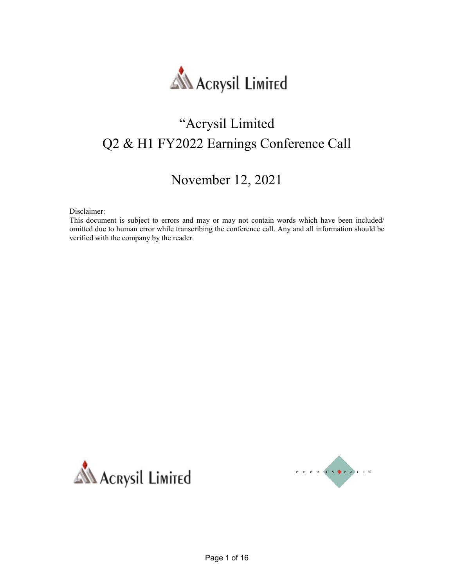

# "Acrysil Limited Q2 & H1 FY2022 Earnings Conference Call

## November 12, 2021

Disclaimer:

This document is subject to errors and may or may not contain words which have been included/ omitted due to human error while transcribing the conference call. Any and all information should be verified with the company by the reader.



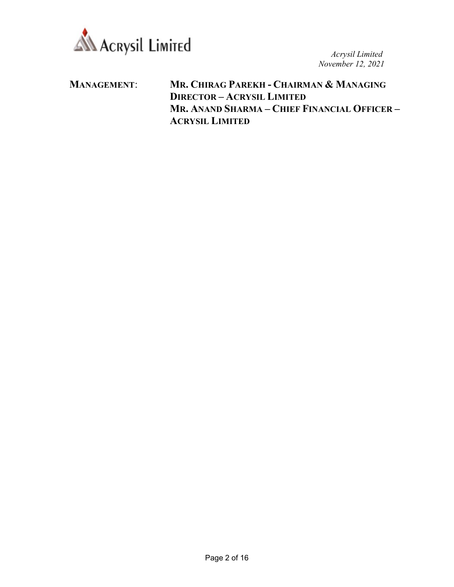

MANAGEMENT: MR. CHIRAG PAREKH - CHAIRMAN & MANAGING DIRECTOR – ACRYSIL LIMITED MR. ANAND SHARMA – CHIEF FINANCIAL OFFICER – ACRYSIL LIMITED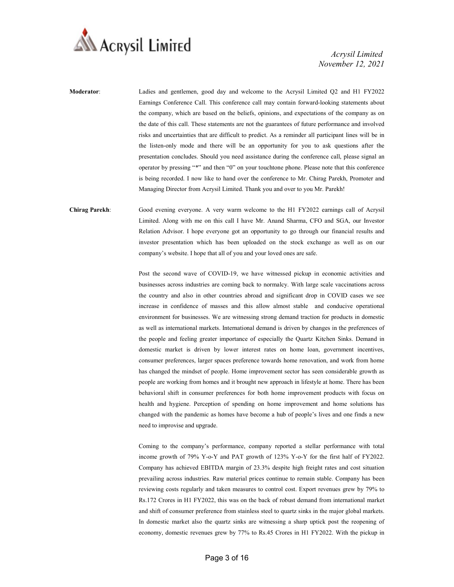

Moderator: Ladies and gentlemen, good day and welcome to the Acrysil Limited Q2 and H1 FY2022 Earnings Conference Call. This conference call may contain forward-looking statements about the company, which are based on the beliefs, opinions, and expectations of the company as on the date of this call. These statements are not the guarantees of future performance and involved risks and uncertainties that are difficult to predict. As a reminder all participant lines will be in the listen-only mode and there will be an opportunity for you to ask questions after the presentation concludes. Should you need assistance during the conference call, please signal an operator by pressing "\*" and then "0" on your touchtone phone. Please note that this conference is being recorded. I now like to hand over the conference to Mr. Chirag Parekh, Promoter and Managing Director from Acrysil Limited. Thank you and over to you Mr. Parekh!

Chirag Parekh: Good evening everyone. A very warm welcome to the H1 FY2022 earnings call of Acrysil Limited. Along with me on this call I have Mr. Anand Sharma, CFO and SGA, our Investor Relation Advisor. I hope everyone got an opportunity to go through our financial results and investor presentation which has been uploaded on the stock exchange as well as on our company's website. I hope that all of you and your loved ones are safe.

> Post the second wave of COVID-19, we have witnessed pickup in economic activities and businesses across industries are coming back to normalcy. With large scale vaccinations across the country and also in other countries abroad and significant drop in COVID cases we see increase in confidence of masses and this allow almost stable and conducive operational environment for businesses. We are witnessing strong demand traction for products in domestic as well as international markets. International demand is driven by changes in the preferences of the people and feeling greater importance of especially the Quartz Kitchen Sinks. Demand in domestic market is driven by lower interest rates on home loan, government incentives, consumer preferences, larger spaces preference towards home renovation, and work from home has changed the mindset of people. Home improvement sector has seen considerable growth as people are working from homes and it brought new approach in lifestyle at home. There has been behavioral shift in consumer preferences for both home improvement products with focus on health and hygiene. Perception of spending on home improvement and home solutions has changed with the pandemic as homes have become a hub of people's lives and one finds a new need to improvise and upgrade.

> Coming to the company's performance, company reported a stellar performance with total income growth of 79% Y-o-Y and PAT growth of 123% Y-o-Y for the first half of FY2022. Company has achieved EBITDA margin of 23.3% despite high freight rates and cost situation prevailing across industries. Raw material prices continue to remain stable. Company has been reviewing costs regularly and taken measures to control cost. Export revenues grew by 79% to Rs.172 Crores in H1 FY2022, this was on the back of robust demand from international market and shift of consumer preference from stainless steel to quartz sinks in the major global markets. In domestic market also the quartz sinks are witnessing a sharp uptick post the reopening of economy, domestic revenues grew by 77% to Rs.45 Crores in H1 FY2022. With the pickup in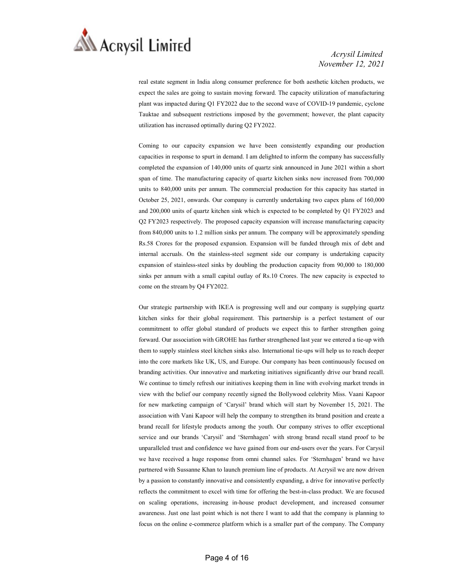

real estate segment in India along consumer preference for both aesthetic kitchen products, we expect the sales are going to sustain moving forward. The capacity utilization of manufacturing plant was impacted during Q1 FY2022 due to the second wave of COVID-19 pandemic, cyclone Tauktae and subsequent restrictions imposed by the government; however, the plant capacity utilization has increased optimally during Q2 FY2022.

 Coming to our capacity expansion we have been consistently expanding our production capacities in response to spurt in demand. I am delighted to inform the company has successfully completed the expansion of 140,000 units of quartz sink announced in June 2021 within a short span of time. The manufacturing capacity of quartz kitchen sinks now increased from 700,000 units to 840,000 units per annum. The commercial production for this capacity has started in October 25, 2021, onwards. Our company is currently undertaking two capex plans of 160,000 and 200,000 units of quartz kitchen sink which is expected to be completed by Q1 FY2023 and Q2 FY2023 respectively. The proposed capacity expansion will increase manufacturing capacity from 840,000 units to 1.2 million sinks per annum. The company will be approximately spending Rs.58 Crores for the proposed expansion. Expansion will be funded through mix of debt and internal accruals. On the stainless-steel segment side our company is undertaking capacity expansion of stainless-steel sinks by doubling the production capacity from 90,000 to 180,000 sinks per annum with a small capital outlay of Rs.10 Crores. The new capacity is expected to come on the stream by Q4 FY2022.

 Our strategic partnership with IKEA is progressing well and our company is supplying quartz kitchen sinks for their global requirement. This partnership is a perfect testament of our commitment to offer global standard of products we expect this to further strengthen going forward. Our association with GROHE has further strengthened last year we entered a tie-up with them to supply stainless steel kitchen sinks also. International tie-ups will help us to reach deeper into the core markets like UK, US, and Europe. Our company has been continuously focused on branding activities. Our innovative and marketing initiatives significantly drive our brand recall. We continue to timely refresh our initiatives keeping them in line with evolving market trends in view with the belief our company recently signed the Bollywood celebrity Miss. Vaani Kapoor for new marketing campaign of 'Carysil' brand which will start by November 15, 2021. The association with Vani Kapoor will help the company to strengthen its brand position and create a brand recall for lifestyle products among the youth. Our company strives to offer exceptional service and our brands 'Carysil' and 'Sternhagen' with strong brand recall stand proof to be unparalleled trust and confidence we have gained from our end-users over the years. For Carysil we have received a huge response from omni channel sales. For 'Sternhagen' brand we have partnered with Sussanne Khan to launch premium line of products. At Acrysil we are now driven by a passion to constantly innovative and consistently expanding, a drive for innovative perfectly reflects the commitment to excel with time for offering the best-in-class product. We are focused on scaling operations, increasing in-house product development, and increased consumer awareness. Just one last point which is not there I want to add that the company is planning to focus on the online e-commerce platform which is a smaller part of the company. The Company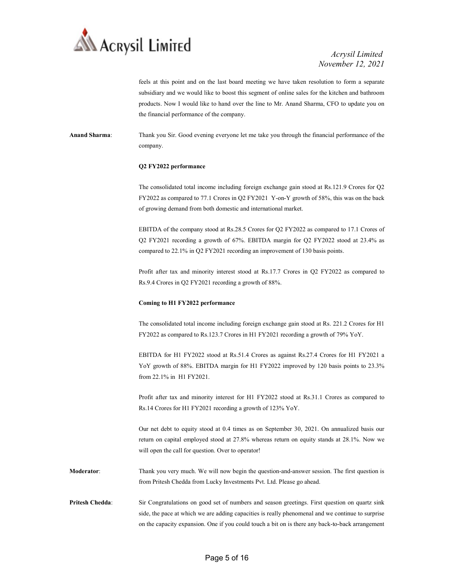

feels at this point and on the last board meeting we have taken resolution to form a separate subsidiary and we would like to boost this segment of online sales for the kitchen and bathroom products. Now I would like to hand over the line to Mr. Anand Sharma, CFO to update you on the financial performance of the company.

Anand Sharma: Thank you Sir. Good evening everyone let me take you through the financial performance of the company.

#### Q2 FY2022 performance

 The consolidated total income including foreign exchange gain stood at Rs.121.9 Crores for Q2 FY2022 as compared to 77.1 Crores in Q2 FY2021 Y-on-Y growth of 58%, this was on the back of growing demand from both domestic and international market.

 EBITDA of the company stood at Rs.28.5 Crores for Q2 FY2022 as compared to 17.1 Crores of Q2 FY2021 recording a growth of 67%. EBITDA margin for Q2 FY2022 stood at 23.4% as compared to 22.1% in Q2 FY2021 recording an improvement of 130 basis points.

 Profit after tax and minority interest stood at Rs.17.7 Crores in Q2 FY2022 as compared to Rs.9.4 Crores in Q2 FY2021 recording a growth of 88%.

#### Coming to H1 FY2022 performance

 The consolidated total income including foreign exchange gain stood at Rs. 221.2 Crores for H1 FY2022 as compared to Rs.123.7 Crores in H1 FY2021 recording a growth of 79% YoY.

 EBITDA for H1 FY2022 stood at Rs.51.4 Crores as against Rs.27.4 Crores for H1 FY2021 a YoY growth of 88%. EBITDA margin for H1 FY2022 improved by 120 basis points to 23.3% from 22.1% in H1 FY2021.

 Profit after tax and minority interest for H1 FY2022 stood at Rs.31.1 Crores as compared to Rs.14 Crores for H1 FY2021 recording a growth of 123% YoY.

 Our net debt to equity stood at 0.4 times as on September 30, 2021. On annualized basis our return on capital employed stood at 27.8% whereas return on equity stands at 28.1%. Now we will open the call for question. Over to operator!

Moderator: Thank you very much. We will now begin the question-and-answer session. The first question is from Pritesh Chedda from Lucky Investments Pvt. Ltd. Please go ahead.

Pritesh Chedda: Sir Congratulations on good set of numbers and season greetings. First question on quartz sink side, the pace at which we are adding capacities is really phenomenal and we continue to surprise on the capacity expansion. One if you could touch a bit on is there any back-to-back arrangement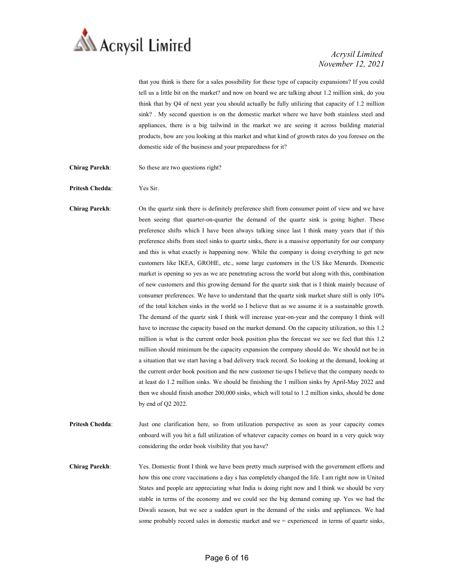

that you think is there for a sales possibility for these type of capacity expansions? If you could tell us a little bit on the market? and now on board we are talking about 1.2 million sink, do you think that by Q4 of next year you should actually be fully utilizing that capacity of 1.2 million sink? . My second question is on the domestic market where we have both stainless steel and appliances, there is a big tailwind in the market we are seeing it across building material products, how are you looking at this market and what kind of growth rates do you foresee on the domestic side of the business and your preparedness for it?

- Chirag Parekh: So these are two questions right?
- Pritesh Chedda: Yes Sir.

Chirag Parekh: On the quartz sink there is definitely preference shift from consumer point of view and we have been seeing that quarter-on-quarter the demand of the quartz sink is going higher. These preference shifts which I have been always talking since last I think many years that if this preference shifts from steel sinks to quartz sinks, there is a massive opportunity for our company and this is what exactly is happening now. While the company is doing everything to get new customers like IKEA, GROHE, etc., some large customers in the US like Menards. Domestic market is opening so yes as we are penetrating across the world but along with this, combination of new customers and this growing demand for the quartz sink that is I think mainly because of consumer preferences. We have to understand that the quartz sink market share still is only 10% of the total kitchen sinks in the world so I believe that as we assume it is a sustainable growth. The demand of the quartz sink I think will increase year-on-year and the company I think will have to increase the capacity based on the market demand. On the capacity utilization, so this 1.2 million is what is the current order book position plus the forecast we see we feel that this 1.2 million should minimum be the capacity expansion the company should do. We should not be in a situation that we start having a bad delivery track record. So looking at the demand, looking at the current order book position and the new customer tie-ups I believe that the company needs to at least do 1.2 million sinks. We should be finishing the 1 million sinks by April-May 2022 and then we should finish another 200,000 sinks, which will total to 1.2 million sinks, should be done by end of Q2 2022.

Pritesh Chedda: Just one clarification here, so from utilization perspective as soon as your capacity comes onboard will you hit a full utilization of whatever capacity comes on board in a very quick way considering the order book visibility that you have?

Chirag Parekh: Yes. Domestic front I think we have been pretty much surprised with the government efforts and how this one crore vaccinations a day s has completely changed the life. I am right now in United States and people are appreciating what India is doing right now and I think we should be very stable in terms of the economy and we could see the big demand coming up. Yes we had the Diwali season, but we see a sudden spurt in the demand of the sinks and appliances. We had some probably record sales in domestic market and we = experienced in terms of quartz sinks,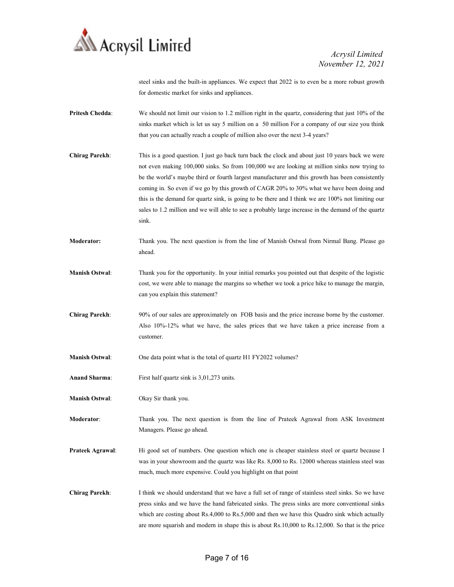

steel sinks and the built-in appliances. We expect that 2022 is to even be a more robust growth for domestic market for sinks and appliances.

- Pritesh Chedda: We should not limit our vision to 1.2 million right in the quartz, considering that just 10% of the sinks market which is let us say 5 million on a 50 million For a company of our size you think that you can actually reach a couple of million also over the next 3-4 years?
- Chirag Parekh: This is a good question. I just go back turn back the clock and about just 10 years back we were not even making 100,000 sinks. So from 100,000 we are looking at million sinks now trying to be the world's maybe third or fourth largest manufacturer and this growth has been consistently coming in. So even if we go by this growth of CAGR 20% to 30% what we have been doing and this is the demand for quartz sink, is going to be there and I think we are 100% not limiting our sales to 1.2 million and we will able to see a probably large increase in the demand of the quartz sink.
- Moderator: Thank you. The next question is from the line of Manish Ostwal from Nirmal Bang. Please go ahead.
- Manish Ostwal: Thank you for the opportunity. In your initial remarks you pointed out that despite of the logistic cost, we were able to manage the margins so whether we took a price hike to manage the margin, can you explain this statement?
- Chirag Parekh: 90% of our sales are approximately on FOB basis and the price increase borne by the customer. Also 10%-12% what we have, the sales prices that we have taken a price increase from a customer.
- Manish Ostwal: One data point what is the total of quartz H1 FY2022 volumes?
- Anand Sharma: First half quartz sink is 3,01,273 units.
- Manish Ostwal: Okay Sir thank you.
- Moderator: Thank you. The next question is from the line of Prateek Agrawal from ASK Investment Managers. Please go ahead.
- Prateek Agrawal: Hi good set of numbers. One question which one is cheaper stainless steel or quartz because I was in your showroom and the quartz was like Rs. 8,000 to Rs. 12000 whereas stainless steel was much, much more expensive. Could you highlight on that point
- Chirag Parekh: I think we should understand that we have a full set of range of stainless steel sinks. So we have press sinks and we have the hand fabricated sinks. The press sinks are more conventional sinks which are costing about Rs.4,000 to Rs.5,000 and then we have this Quadro sink which actually are more squarish and modern in shape this is about Rs.10,000 to Rs.12,000. So that is the price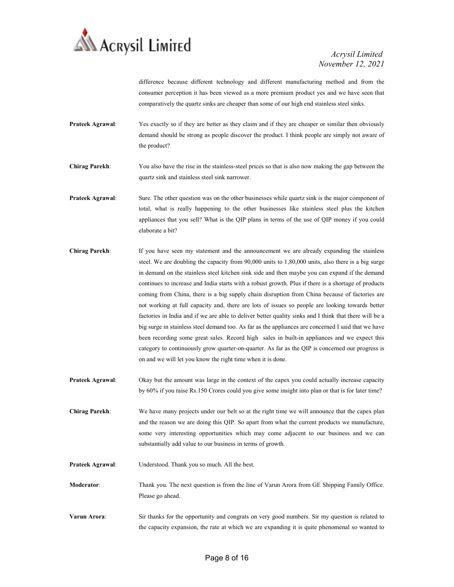

difference because different technology and different manufacturing method and from the consumer perception it has been viewed as a more premium product yes and we have seen that comparatively the quartz sinks are cheaper than some of our high end stainless steel sinks.

- Prateek Agrawal: Yes exactly so if they are better as they claim and if they are cheaper or similar then obviously demand should be strong as people discover the product. I think people are simply not aware of the product?
- Chirag Parekh: You also have the rise in the stainless-steel prices so that is also now making the gap between the quartz sink and stainless steel sink narrower.
- **Prateek Agrawal:** Sure. The other question was on the other businesses while quartz sink is the major component of total, what is really happening to the other businesses like stainless steel plus the kitchen appliances that you sell? What is the QIP plans in terms of the use of QIP money if you could elaborate a bit?
- Chirag Parekh: If you have seen my statement and the announcement we are already expanding the stainless steel. We are doubling the capacity from 90,000 units to 1,80,000 units, also there is a big surge in demand on the stainless steel kitchen sink side and then maybe you can expand if the demand continues to increase and India starts with a robust growth. Plus if there is a shortage of products coming from China, there is a big supply chain disruption from China because of factories are not working at full capacity and, there are lots of issues so people are looking towards better factories in India and if we are able to deliver better quality sinks and I think that there will be a big surge in stainless steel demand too. As far as the appliances are concerned I said that we have been recording some great sales. Record high sales in built-in appliances and we expect this category to continuously grow quarter-on-quarter. As far as the QIP is concerned our progress is on and we will let you know the right time when it is done.
- Prateek Agrawal: Okay but the amount was large in the context of the capex you could actually increase capacity by 60% if you raise Rs.150 Crores could you give some insight into plan or that is for later time?

Chirag Parekh: We have many projects under our belt so at the right time we will announce that the capex plan and the reason we are doing this QIP. So apart from what the current products we manufacture, some very interesting opportunities which may come adjacent to our business and we can substantially add value to our business in terms of growth.

- Prateek Agrawal: Understood. Thank you so much. All the best.
- Moderator: Thank you. The next question is from the line of Varun Arora from GE Shipping Family Office. Please go ahead.
- Varun Arora: Sir thanks for the opportunity and congrats on very good numbers. Sir my question is related to the capacity expansion, the rate at which we are expanding it is quite phenomenal so wanted to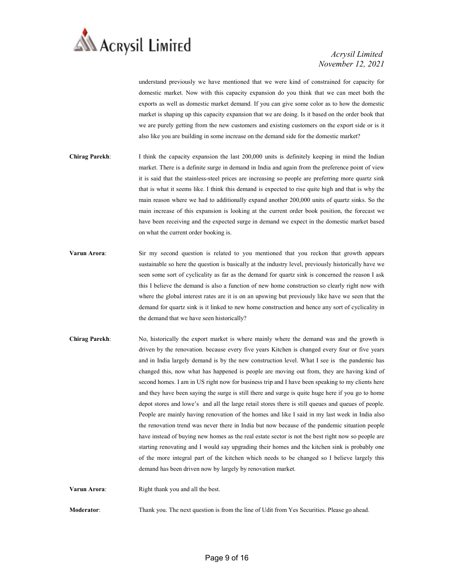

understand previously we have mentioned that we were kind of constrained for capacity for domestic market. Now with this capacity expansion do you think that we can meet both the exports as well as domestic market demand. If you can give some color as to how the domestic market is shaping up this capacity expansion that we are doing. Is it based on the order book that we are purely getting from the new customers and existing customers on the export side or is it also like you are building in some increase on the demand side for the domestic market?

- Chirag Parekh: I think the capacity expansion the last 200,000 units is definitely keeping in mind the Indian market. There is a definite surge in demand in India and again from the preference point of view it is said that the stainless-steel prices are increasing so people are preferring more quartz sink that is what it seems like. I think this demand is expected to rise quite high and that is why the main reason where we had to additionally expand another 200,000 units of quartz sinks. So the main increase of this expansion is looking at the current order book position, the forecast we have been receiving and the expected surge in demand we expect in the domestic market based on what the current order booking is.
- Varun Arora: Sir my second question is related to you mentioned that you reckon that growth appears sustainable so here the question is basically at the industry level, previously historically have we seen some sort of cyclicality as far as the demand for quartz sink is concerned the reason I ask this I believe the demand is also a function of new home construction so clearly right now with where the global interest rates are it is on an upswing but previously like have we seen that the demand for quartz sink is it linked to new home construction and hence any sort of cyclicality in the demand that we have seen historically?
- Chirag Parekh: No, historically the export market is where mainly where the demand was and the growth is driven by the renovation. because every five years Kitchen is changed every four or five years and in India largely demand is by the new construction level. What I see is the pandemic has changed this, now what has happened is people are moving out from, they are having kind of second homes. I am in US right now for business trip and I have been speaking to my clients here and they have been saying the surge is still there and surge is quite huge here if you go to home depot stores and lowe's and all the large retail stores there is still queues and queues of people. People are mainly having renovation of the homes and like I said in my last week in India also the renovation trend was never there in India but now because of the pandemic situation people have instead of buying new homes as the real estate sector is not the best right now so people are starting renovating and I would say upgrading their homes and the kitchen sink is probably one of the more integral part of the kitchen which needs to be changed so I believe largely this demand has been driven now by largely by renovation market.

Varun Arora: Right thank you and all the best.

Moderator: Thank you. The next question is from the line of Udit from Yes Securities. Please go ahead.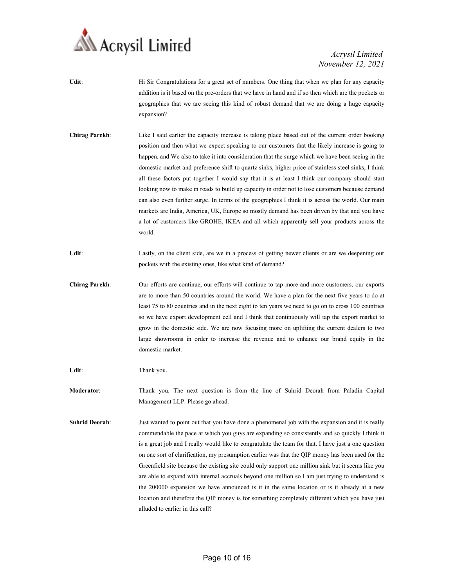

- Udit: Hi Sir Congratulations for a great set of numbers. One thing that when we plan for any capacity addition is it based on the pre-orders that we have in hand and if so then which are the pockets or geographies that we are seeing this kind of robust demand that we are doing a huge capacity expansion?
- Chirag Parekh: Like I said earlier the capacity increase is taking place based out of the current order booking position and then what we expect speaking to our customers that the likely increase is going to happen. and We also to take it into consideration that the surge which we have been seeing in the domestic market and preference shift to quartz sinks, higher price of stainless steel sinks, I think all these factors put together I would say that it is at least I think our company should start looking now to make in roads to build up capacity in order not to lose customers because demand can also even further surge. In terms of the geographies I think it is across the world. Our main markets are India, America, UK, Europe so mostly demand has been driven by that and you have a lot of customers like GROHE, IKEA and all which apparently sell your products across the world.
- Udit: Lastly, on the client side, are we in a process of getting newer clients or are we deepening our pockets with the existing ones, like what kind of demand?
- Chirag Parekh: Our efforts are continue, our efforts will continue to tap more and more customers, our exports are to more than 50 countries around the world. We have a plan for the next five years to do at least 75 to 80 countries and in the next eight to ten years we need to go on to cross 100 countries so we have export development cell and I think that continuously will tap the export market to grow in the domestic side. We are now focusing more on uplifting the current dealers to two large showrooms in order to increase the revenue and to enhance our brand equity in the domestic market.

Udit: Thank you.

Moderator: Thank you. The next question is from the line of Suhrid Deorah from Paladin Capital Management LLP. Please go ahead.

Suhrid Deorah: Just wanted to point out that you have done a phenomenal job with the expansion and it is really commendable the pace at which you guys are expanding so consistently and so quickly I think it is a great job and I really would like to congratulate the team for that. I have just a one question on one sort of clarification, my presumption earlier was that the QIP money has been used for the Greenfield site because the existing site could only support one million sink but it seems like you are able to expand with internal accruals beyond one million so I am just trying to understand is the 200000 expansion we have announced is it in the same location or is it already at a new location and therefore the QIP money is for something completely different which you have just alluded to earlier in this call?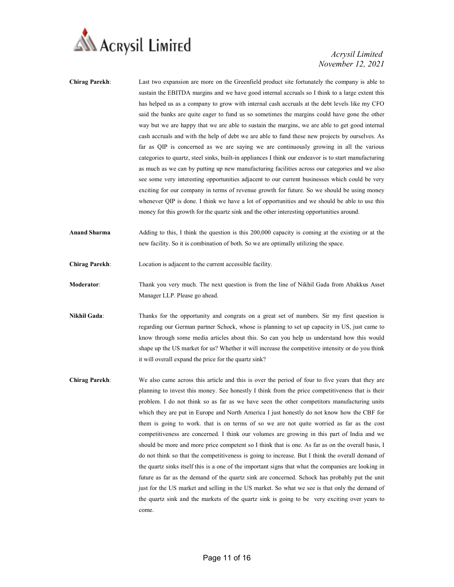

- Chirag Parekh: Last two expansion are more on the Greenfield product site fortunately the company is able to sustain the EBITDA margins and we have good internal accruals so I think to a large extent this has helped us as a company to grow with internal cash accruals at the debt levels like my CFO said the banks are quite eager to fund us so sometimes the margins could have gone the other way but we are happy that we are able to sustain the margins, we are able to get good internal cash accruals and with the help of debt we are able to fund these new projects by ourselves. As far as QIP is concerned as we are saying we are continuously growing in all the various categories to quartz, steel sinks, built-in appliances I think our endeavor is to start manufacturing as much as we can by putting up new manufacturing facilities across our categories and we also see some very interesting opportunities adjacent to our current businesses which could be very exciting for our company in terms of revenue growth for future. So we should be using money whenever QIP is done. I think we have a lot of opportunities and we should be able to use this money for this growth for the quartz sink and the other interesting opportunities around.
- Anand Sharma Adding to this, I think the question is this 200,000 capacity is coming at the existing or at the new facility. So it is combination of both. So we are optimally utilizing the space.
- Chirag Parekh: Location is adjacent to the current accessible facility.
- Moderator: Thank you very much. The next question is from the line of Nikhil Gada from Abakkus Asset Manager LLP. Please go ahead.
- Nikhil Gada: Thanks for the opportunity and congrats on a great set of numbers. Sir my first question is regarding our German partner Schock, whose is planning to set up capacity in US, just came to know through some media articles about this. So can you help us understand how this would shape up the US market for us? Whether it will increase the competitive intensity or do you think it will overall expand the price for the quartz sink?
- Chirag Parekh: We also came across this article and this is over the period of four to five years that they are planning to invest this money. See honestly I think from the price competitiveness that is their problem. I do not think so as far as we have seen the other competitors manufacturing units which they are put in Europe and North America I just honestly do not know how the CBF for them is going to work. that is on terms of so we are not quite worried as far as the cost competitiveness are concerned. I think our volumes are growing in this part of India and we should be more and more price competent so I think that is one. As far as on the overall basis, I do not think so that the competitiveness is going to increase. But I think the overall demand of the quartz sinks itself this is a one of the important signs that what the companies are looking in future as far as the demand of the quartz sink are concerned. Schock has probably put the unit just for the US market and selling in the US market. So what we see is that only the demand of the quartz sink and the markets of the quartz sink is going to be very exciting over years to come.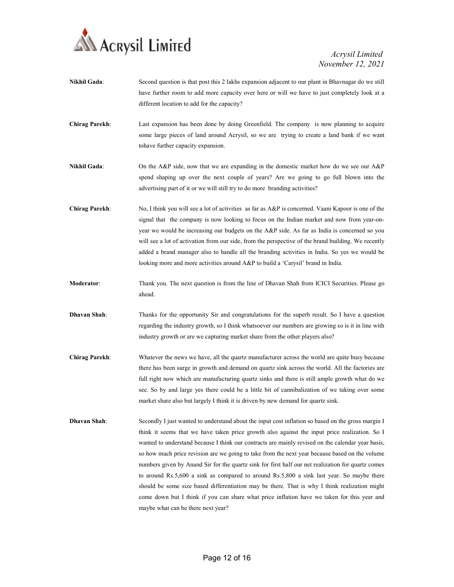

Nikhil Gada: Second question is that post this 2 lakhs expansion adjacent to our plant in Bhavnagar do we still have further room to add more capacity over here or will we have to just completely look at a different location to add for the capacity? Chirag Parekh: Last expansion has been done by doing Greenfield. The company is now planning to acquire some large pieces of land around Acrysil, so we are trying to create a land bank if we want tohave further capacity expansion. Nikhil Gada: On the A&P side, now that we are expanding in the domestic market how do we see our A&P spend shaping up over the next couple of years? Are we going to go full blown into the advertising part of it or we will still try to do more branding activities? Chirag Parekh: No, I think you will see a lot of activities as far as A&P is concerned. Vaani Kapoor is one of the signal that the company is now looking to focus on the Indian market and now from year-onyear we would be increasing our budgets on the A&P side. As far as India is concerned so you will see a lot of activation from our side, from the perspective of the brand building. We recently added a brand manager also to handle all the branding activities in India. So yes we would be looking more and more activities around A&P to build a 'Carysil' brand in India. Moderator: Thank you. The next question is from the line of Dhavan Shah from ICICI Securities. Please go ahead. Dhavan Shah: Thanks for the opportunity Sir and congratulations for the superb result. So I have a question regarding the industry growth, so I think whatsoever our numbers are growing so is it in line with industry growth or are we capturing market share from the other players also? Chirag Parekh: Whatever the news we have, all the quartz manufacturer across the world are quite busy because there has been surge in growth and demand on quartz sink across the world. All the factories are full right now which are manufacturing quartz sinks and there is still ample growth what do we see. So by and large yes there could be a little bit of cannibalization of we taking over some market share also but largely I think it is driven by new demand for quartz sink. **Dhavan Shah:** Secondly I just wanted to understand about the input cost inflation so based on the gross margin I think it seems that we have taken price growth also against the input price realization. So I wanted to understand because I think our contracts are mainly revised on the calendar year basis, so how much price revision are we going to take from the next year because based on the volume numbers given by Anand Sir for the quartz sink for first half our net realization for quartz comes to around Rs.5,600 a sink as compared to around Rs.5,800 a sink last year. So maybe there should be some size based differentiation may be there. That is why I think realization might come down but I think if you can share what price inflation have we taken for this year and maybe what can be there next year?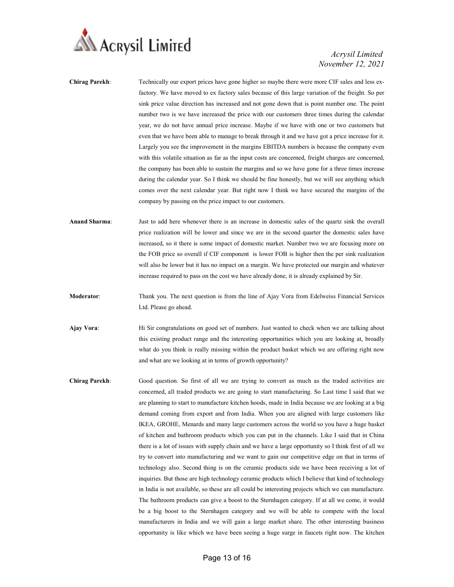

- Chirag Parekh: Technically our export prices have gone higher so maybe there were more CIF sales and less exfactory. We have moved to ex factory sales because of this large variation of the freight. So per sink price value direction has increased and not gone down that is point number one. The point number two is we have increased the price with our customers three times during the calendar year, we do not have annual price increase. Maybe if we have with one or two customers but even that we have been able to manage to break through it and we have got a price increase for it. Largely you see the improvement in the margins EBITDA numbers is because the company even with this volatile situation as far as the input costs are concerned, freight charges are concerned, the company has been able to sustain the margins and so we have gone for a three times increase during the calendar year. So I think we should be fine honestly, but we will see anything which comes over the next calendar year. But right now I think we have secured the margins of the company by passing on the price impact to our customers.
- Anand Sharma: Just to add here whenever there is an increase in domestic sales of the quartz sink the overall price realization will be lower and since we are in the second quarter the domestic sales have increased, so it there is some impact of domestic market. Number two we are focusing more on the FOB price so overall if CIF component is lower FOB is higher then the per sink realization will also be lower but it has no impact on a margin. We have protected our margin and whatever increase required to pass on the cost we have already done, it is already explained by Sir.
- Moderator: Thank you. The next question is from the line of Ajay Vora from Edelweiss Financial Services Ltd. Please go ahead.
- Ajay Vora: Hi Sir congratulations on good set of numbers. Just wanted to check when we are talking about this existing product range and the interesting opportunities which you are looking at, broadly what do you think is really missing within the product basket which we are offering right now and what are we looking at in terms of growth opportunity?
- Chirag Parekh: Good question. So first of all we are trying to convert as much as the traded activities are concerned, all traded products we are going to start manufacturing. So Last time I said that we are planning to start to manufacture kitchen hoods, made in India because we are looking at a big demand coming from export and from India. When you are aligned with large customers like IKEA, GROHE, Menards and many large customers across the world so you have a huge basket of kitchen and bathroom products which you can put in the channels. Like I said that in China there is a lot of issues with supply chain and we have a large opportunity so I think first of all we try to convert into manufacturing and we want to gain our competitive edge on that in terms of technology also. Second thing is on the ceramic products side we have been receiving a lot of inquiries. But those are high technology ceramic products which I believe that kind of technology in India is not available, so these are all could be interesting projects which we can manufacture. The bathroom products can give a boost to the Sternhagen category. If at all we come, it would be a big boost to the Sternhagen category and we will be able to compete with the local manufacturers in India and we will gain a large market share. The other interesting business opportunity is like which we have been seeing a huge surge in faucets right now. The kitchen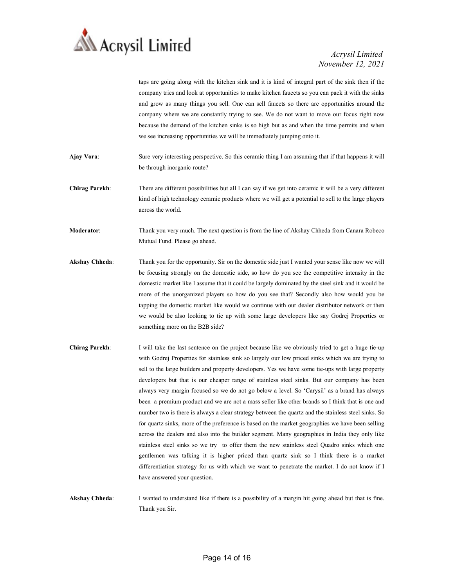

taps are going along with the kitchen sink and it is kind of integral part of the sink then if the company tries and look at opportunities to make kitchen faucets so you can pack it with the sinks and grow as many things you sell. One can sell faucets so there are opportunities around the company where we are constantly trying to see. We do not want to move our focus right now because the demand of the kitchen sinks is so high but as and when the time permits and when we see increasing opportunities we will be immediately jumping onto it.

- Ajay Vora: Sure very interesting perspective. So this ceramic thing I am assuming that if that happens it will be through inorganic route?
- Chirag Parekh: There are different possibilities but all I can say if we get into ceramic it will be a very different kind of high technology ceramic products where we will get a potential to sell to the large players across the world.

Moderator: Thank you very much. The next question is from the line of Akshay Chheda from Canara Robeco Mutual Fund. Please go ahead.

- Akshay Chheda: Thank you for the opportunity. Sir on the domestic side just I wanted your sense like now we will be focusing strongly on the domestic side, so how do you see the competitive intensity in the domestic market like I assume that it could be largely dominated by the steel sink and it would be more of the unorganized players so how do you see that? Secondly also how would you be tapping the domestic market like would we continue with our dealer distributor network or then we would be also looking to tie up with some large developers like say Godrej Properties or something more on the B2B side?
- Chirag Parekh: I will take the last sentence on the project because like we obviously tried to get a huge tie-up with Godrej Properties for stainless sink so largely our low priced sinks which we are trying to sell to the large builders and property developers. Yes we have some tie-ups with large property developers but that is our cheaper range of stainless steel sinks. But our company has been always very margin focused so we do not go below a level. So 'Carysil' as a brand has always been a premium product and we are not a mass seller like other brands so I think that is one and number two is there is always a clear strategy between the quartz and the stainless steel sinks. So for quartz sinks, more of the preference is based on the market geographies we have been selling across the dealers and also into the builder segment. Many geographies in India they only like stainless steel sinks so we try to offer them the new stainless steel Quadro sinks which one gentlemen was talking it is higher priced than quartz sink so I think there is a market differentiation strategy for us with which we want to penetrate the market. I do not know if I have answered your question.
- Akshay Chheda: I wanted to understand like if there is a possibility of a margin hit going ahead but that is fine. Thank you Sir.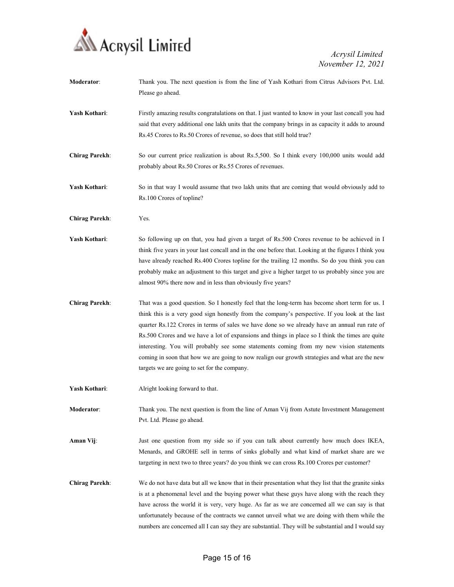

| Moderator:            | Thank you. The next question is from the line of Yash Kothari from Citrus Advisors Pvt. Ltd.<br>Please go ahead.                                                                                                                                                                                                                                                                                                                                                                                                                                                                                                                                     |
|-----------------------|------------------------------------------------------------------------------------------------------------------------------------------------------------------------------------------------------------------------------------------------------------------------------------------------------------------------------------------------------------------------------------------------------------------------------------------------------------------------------------------------------------------------------------------------------------------------------------------------------------------------------------------------------|
| Yash Kothari:         | Firstly amazing results congratulations on that. I just wanted to know in your last concall you had<br>said that every additional one lakh units that the company brings in as capacity it adds to around<br>Rs.45 Crores to Rs.50 Crores of revenue, so does that still hold true?                                                                                                                                                                                                                                                                                                                                                                  |
| <b>Chirag Parekh:</b> | So our current price realization is about Rs.5,500. So I think every 100,000 units would add<br>probably about Rs.50 Crores or Rs.55 Crores of revenues.                                                                                                                                                                                                                                                                                                                                                                                                                                                                                             |
| Yash Kothari:         | So in that way I would assume that two lakh units that are coming that would obviously add to<br>Rs.100 Crores of topline?                                                                                                                                                                                                                                                                                                                                                                                                                                                                                                                           |
| <b>Chirag Parekh:</b> | Yes.                                                                                                                                                                                                                                                                                                                                                                                                                                                                                                                                                                                                                                                 |
| Yash Kothari:         | So following up on that, you had given a target of Rs.500 Crores revenue to be achieved in I<br>think five years in your last concall and in the one before that. Looking at the figures I think you<br>have already reached Rs.400 Crores topline for the trailing 12 months. So do you think you can<br>probably make an adjustment to this target and give a higher target to us probably since you are<br>almost 90% there now and in less than obviously five years?                                                                                                                                                                            |
| <b>Chirag Parekh:</b> | That was a good question. So I honestly feel that the long-term has become short term for us. I<br>think this is a very good sign honestly from the company's perspective. If you look at the last<br>quarter Rs.122 Crores in terms of sales we have done so we already have an annual run rate of<br>Rs.500 Crores and we have a lot of expansions and things in place so I think the times are quite<br>interesting. You will probably see some statements coming from my new vision statements<br>coming in soon that how we are going to now realign our growth strategies and what are the new<br>targets we are going to set for the company. |
| Yash Kothari:         | Alright looking forward to that.                                                                                                                                                                                                                                                                                                                                                                                                                                                                                                                                                                                                                     |
| <b>Moderator:</b>     | Thank you. The next question is from the line of Aman Vij from Astute Investment Management<br>Pvt. Ltd. Please go ahead.                                                                                                                                                                                                                                                                                                                                                                                                                                                                                                                            |
| Aman Vij:             | Just one question from my side so if you can talk about currently how much does IKEA,<br>Menards, and GROHE sell in terms of sinks globally and what kind of market share are we<br>targeting in next two to three years? do you think we can cross Rs.100 Crores per customer?                                                                                                                                                                                                                                                                                                                                                                      |
| <b>Chirag Parekh:</b> | We do not have data but all we know that in their presentation what they list that the granite sinks<br>is at a phenomenal level and the buying power what these guys have along with the reach they<br>have across the world it is very, very huge. As far as we are concerned all we can say is that<br>unfortunately because of the contracts we cannot unveil what we are doing with them while the<br>numbers are concerned all I can say they are substantial. They will be substantial and I would say                                                                                                                                        |